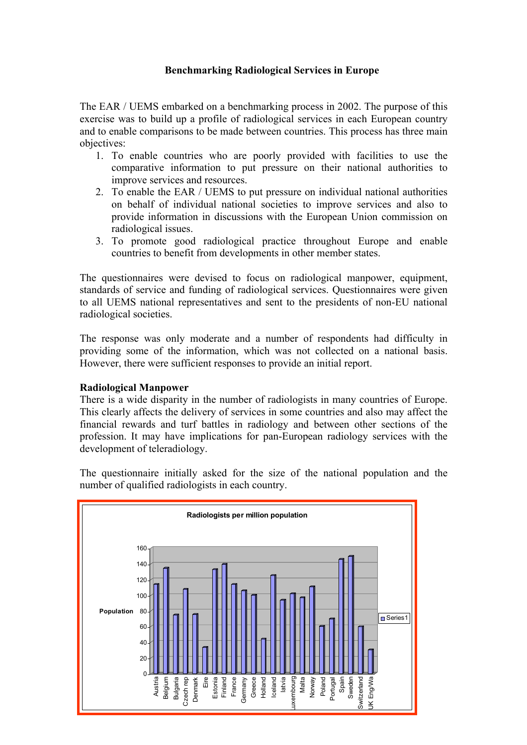## **Benchmarking Radiological Services in Europe**

The EAR / UEMS embarked on a benchmarking process in 2002. The purpose of this exercise was to build up a profile of radiological services in each European country and to enable comparisons to be made between countries. This process has three main objectives:

- 1. To enable countries who are poorly provided with facilities to use the comparative information to put pressure on their national authorities to improve services and resources.
- 2. To enable the EAR / UEMS to put pressure on individual national authorities on behalf of individual national societies to improve services and also to provide information in discussions with the European Union commission on radiological issues.
- 3. To promote good radiological practice throughout Europe and enable countries to benefit from developments in other member states.

The questionnaires were devised to focus on radiological manpower, equipment, standards of service and funding of radiological services. Questionnaires were given to all UEMS national representatives and sent to the presidents of non-EU national radiological societies.

The response was only moderate and a number of respondents had difficulty in providing some of the information, which was not collected on a national basis. However, there were sufficient responses to provide an initial report.

#### **Radiological Manpower**

There is a wide disparity in the number of radiologists in many countries of Europe. This clearly affects the delivery of services in some countries and also may affect the financial rewards and turf battles in radiology and between other sections of the profession. It may have implications for pan-European radiology services with the development of teleradiology.

The questionnaire initially asked for the size of the national population and the number of qualified radiologists in each country.

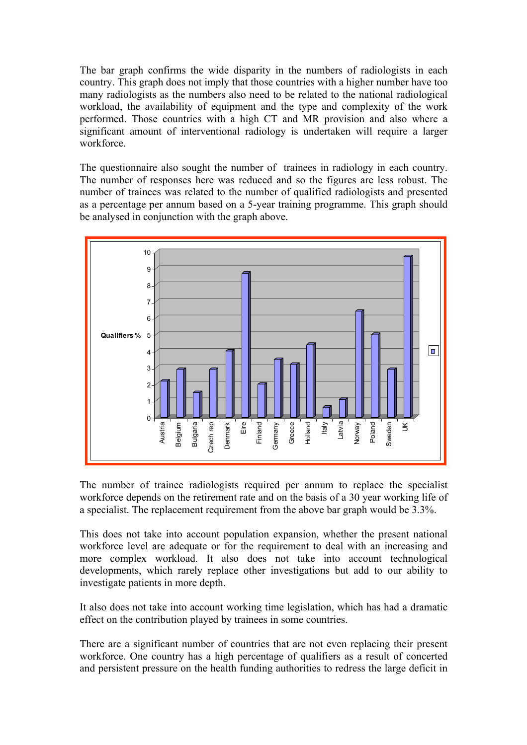The bar graph confirms the wide disparity in the numbers of radiologists in each country. This graph does not imply that those countries with a higher number have too many radiologists as the numbers also need to be related to the national radiological workload, the availability of equipment and the type and complexity of the work performed. Those countries with a high CT and MR provision and also where a significant amount of interventional radiology is undertaken will require a larger workforce.

The questionnaire also sought the number of trainees in radiology in each country. The number of responses here was reduced and so the figures are less robust. The number of trainees was related to the number of qualified radiologists and presented as a percentage per annum based on a 5-year training programme. This graph should be analysed in conjunction with the graph above.



The number of trainee radiologists required per annum to replace the specialist workforce depends on the retirement rate and on the basis of a 30 year working life of a specialist. The replacement requirement from the above bar graph would be 3.3%.

This does not take into account population expansion, whether the present national workforce level are adequate or for the requirement to deal with an increasing and more complex workload. It also does not take into account technological developments, which rarely replace other investigations but add to our ability to investigate patients in more depth.

It also does not take into account working time legislation, which has had a dramatic effect on the contribution played by trainees in some countries.

There are a significant number of countries that are not even replacing their present workforce. One country has a high percentage of qualifiers as a result of concerted and persistent pressure on the health funding authorities to redress the large deficit in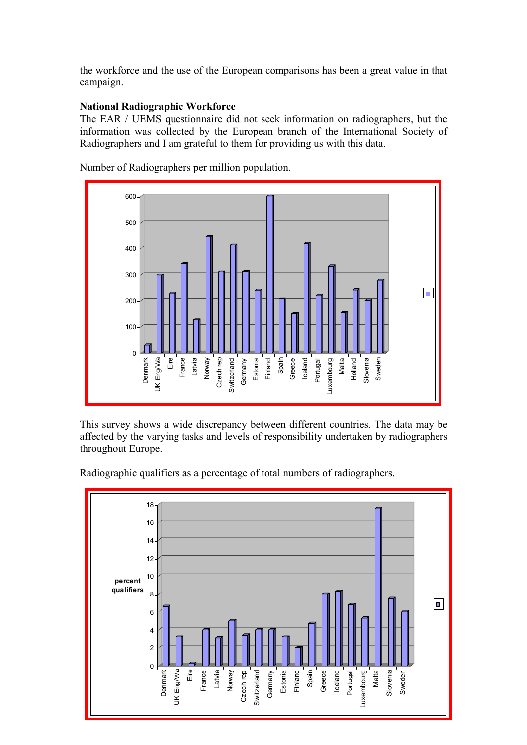the workforce and the use of the European comparisons has been a great value in that campaign.

# **National Radiographic Workforce**

The EAR / UEMS questionnaire did not seek information on radiographers, but the information was collected by the European branch of the International Society of Radiographers and I am grateful to them for providing us with this data.



Number of Radiographers per million population.

This survey shows a wide discrepancy between different countries. The data may be affected by the varying tasks and levels of responsibility undertaken by radiographers throughout Europe.

Radiographic qualifiers as a percentage of total numbers of radiographers.

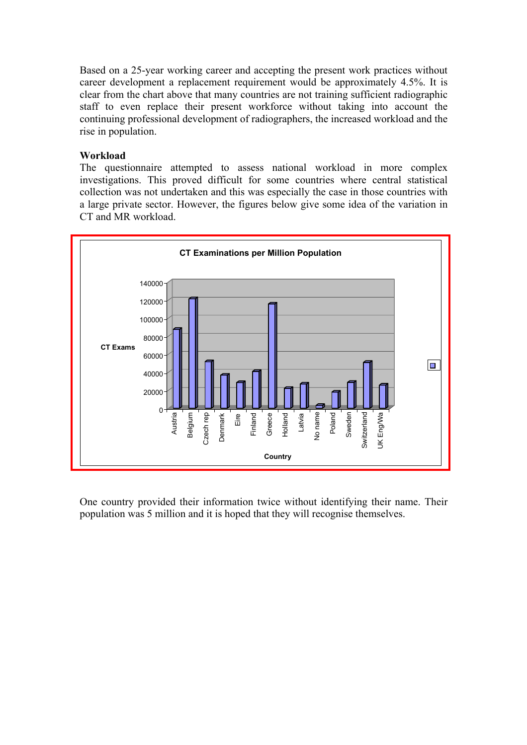Based on a 25-year working career and accepting the present work practices without career development a replacement requirement would be approximately 4.5%. It is clear from the chart above that many countries are not training sufficient radiographic staff to even replace their present workforce without taking into account the continuing professional development of radiographers, the increased workload and the rise in population.

## Workload

The questionnaire attempted to assess national workload in more complex investigations. This proved difficult for some countries where central statistical collection was not undertaken and this was especially the case in those countries with a large private sector. However, the figures below give some idea of the variation in CT and MR workload.



One country provided their information twice without identifying their name. Their population was 5 million and it is hoped that they will recognise themselves.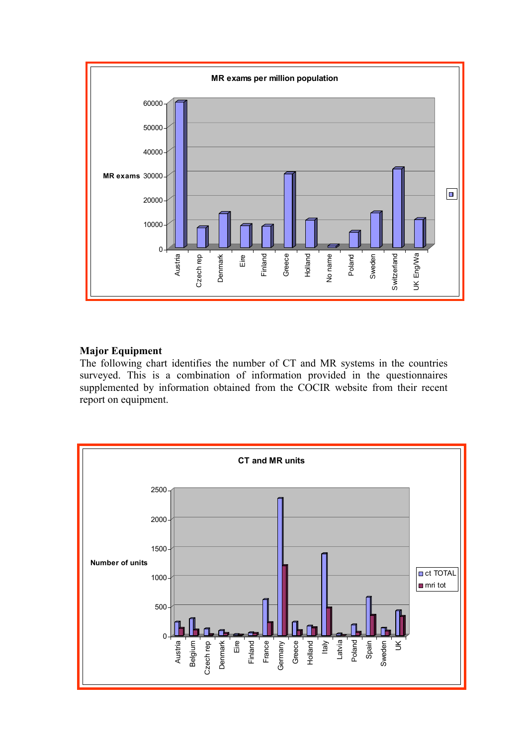

# **Major Equipment**

The following chart identifies the number of CT and MR systems in the countries surveyed. This is a combination of information provided in the questionnaires supplemented by information obtained from the COCIR website from their recent report on equipment.

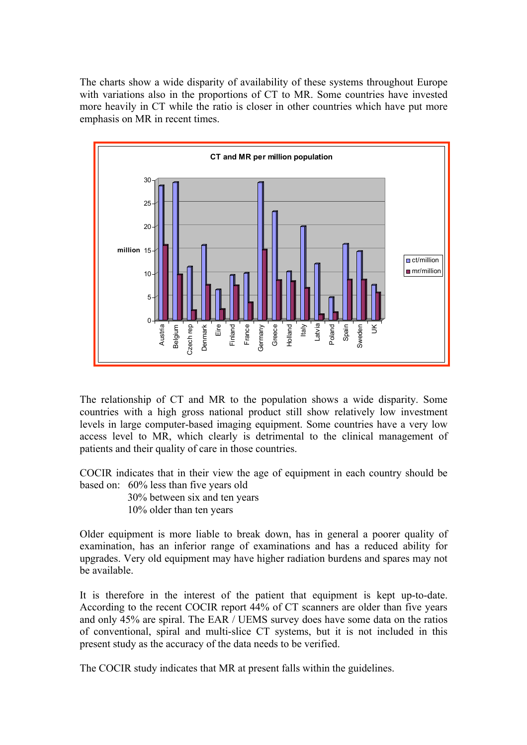The charts show a wide disparity of availability of these systems throughout Europe with variations also in the proportions of CT to MR. Some countries have invested more heavily in CT while the ratio is closer in other countries which have put more emphasis on MR in recent times.



The relationship of CT and MR to the population shows a wide disparity. Some countries with a high gross national product still show relatively low investment levels in large computer-based imaging equipment. Some countries have a very low access level to MR, which clearly is detrimental to the clinical management of patients and their quality of care in those countries.

COCIR indicates that in their view the age of equipment in each country should be based on: 60% less than five years old

 30% between six and ten years 10% older than ten years

Older equipment is more liable to break down, has in general a poorer quality of examination, has an inferior range of examinations and has a reduced ability for upgrades. Very old equipment may have higher radiation burdens and spares may not be available.

It is therefore in the interest of the patient that equipment is kept up-to-date. According to the recent COCIR report 44% of CT scanners are older than five years and only 45% are spiral. The EAR / UEMS survey does have some data on the ratios of conventional, spiral and multi-slice CT systems, but it is not included in this present study as the accuracy of the data needs to be verified.

The COCIR study indicates that MR at present falls within the guidelines.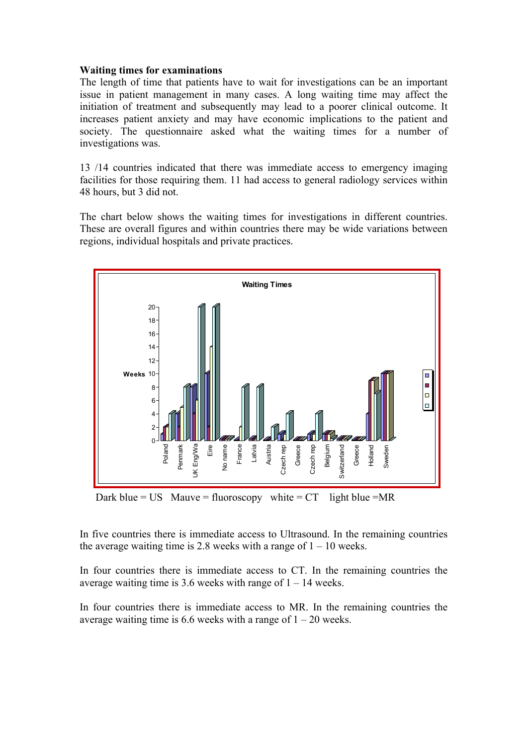## **Waiting times for examinations**

The length of time that patients have to wait for investigations can be an important issue in patient management in many cases. A long waiting time may affect the initiation of treatment and subsequently may lead to a poorer clinical outcome. It increases patient anxiety and may have economic implications to the patient and society. The questionnaire asked what the waiting times for a number of investigations was.

13 /14 countries indicated that there was immediate access to emergency imaging facilities for those requiring them. 11 had access to general radiology services within 48 hours, but 3 did not.

The chart below shows the waiting times for investigations in different countries. These are overall figures and within countries there may be wide variations between regions, individual hospitals and private practices.



Dark blue = US Mauve = fluoroscopy white =  $CT$  light blue = MR

In five countries there is immediate access to Ultrasound. In the remaining countries the average waiting time is 2.8 weeks with a range of  $1 - 10$  weeks.

In four countries there is immediate access to CT. In the remaining countries the average waiting time is 3.6 weeks with range of  $1 - 14$  weeks.

In four countries there is immediate access to MR. In the remaining countries the average waiting time is 6.6 weeks with a range of  $1 - 20$  weeks.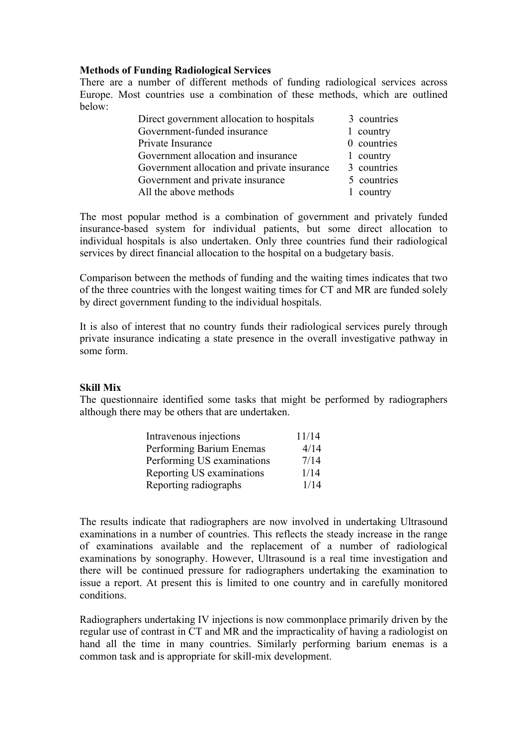## **Methods of Funding Radiological Services**

There are a number of different methods of funding radiological services across Europe. Most countries use a combination of these methods, which are outlined below:

| Direct government allocation to hospitals   | 3 countries |
|---------------------------------------------|-------------|
| Government-funded insurance                 | 1 country   |
| Private Insurance                           | 0 countries |
| Government allocation and insurance         | 1 country   |
| Government allocation and private insurance | 3 countries |
| Government and private insurance            | 5 countries |
| All the above methods                       | 1 country   |

The most popular method is a combination of government and privately funded insurance-based system for individual patients, but some direct allocation to individual hospitals is also undertaken. Only three countries fund their radiological services by direct financial allocation to the hospital on a budgetary basis.

Comparison between the methods of funding and the waiting times indicates that two of the three countries with the longest waiting times for CT and MR are funded solely by direct government funding to the individual hospitals.

It is also of interest that no country funds their radiological services purely through private insurance indicating a state presence in the overall investigative pathway in some form.

# **Skill Mix**

The questionnaire identified some tasks that might be performed by radiographers although there may be others that are undertaken.

| Intravenous injections     | 11/14 |
|----------------------------|-------|
| Performing Barium Enemas   | 4/14  |
| Performing US examinations | 7/14  |
| Reporting US examinations  | 1/14  |
| Reporting radiographs      | 1/14  |

The results indicate that radiographers are now involved in undertaking Ultrasound examinations in a number of countries. This reflects the steady increase in the range of examinations available and the replacement of a number of radiological examinations by sonography. However, Ultrasound is a real time investigation and there will be continued pressure for radiographers undertaking the examination to issue a report. At present this is limited to one country and in carefully monitored conditions.

Radiographers undertaking IV injections is now commonplace primarily driven by the regular use of contrast in CT and MR and the impracticality of having a radiologist on hand all the time in many countries. Similarly performing barium enemas is a common task and is appropriate for skill-mix development.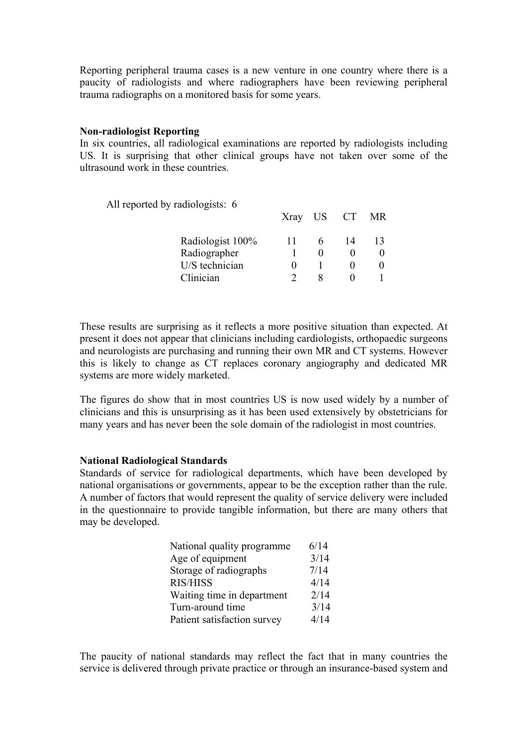Reporting peripheral trauma cases is a new venture in one country where there is a paucity of radiologists and where radiographers have been reviewing peripheral trauma radiographs on a monitored basis for some years.

#### **Non-radiologist Reporting**

In six countries, all radiological examinations are reported by radiologists including US. It is surprising that other clinical groups have not taken over some of the ultrasound work in these countries.

All reported by radiologists: 6

| $1 \text{ m}$ reported by radiotography. |  | Xray US CT MR |  |
|------------------------------------------|--|---------------|--|
| Radiologist 100%                         |  | 14            |  |
| Radiographer                             |  |               |  |
| U/S technician                           |  |               |  |
| Clinician                                |  |               |  |
|                                          |  |               |  |

These results are surprising as it reflects a more positive situation than expected. At present it does not appear that clinicians including cardiologists, orthopaedic surgeons and neurologists are purchasing and running their own MR and CT systems. However this is likely to change as CT replaces coronary angiography and dedicated MR systems are more widely marketed.

The figures do show that in most countries US is now used widely by a number of clinicians and this is unsurprising as it has been used extensively by obstetricians for many years and has never been the sole domain of the radiologist in most countries.

#### **National Radiological Standards**

Standards of service for radiological departments, which have been developed by national organisations or governments, appear to be the exception rather than the rule. A number of factors that would represent the quality of service delivery were included in the questionnaire to provide tangible information, but there are many others that may be developed.

| National quality programme  | 6/14 |
|-----------------------------|------|
| Age of equipment            | 3/14 |
| Storage of radiographs      | 7/14 |
| <b>RIS/HISS</b>             | 4/14 |
| Waiting time in department  | 2/14 |
| Turn-around time            | 3/14 |
| Patient satisfaction survey | 4/14 |

The paucity of national standards may reflect the fact that in many countries the service is delivered through private practice or through an insurance-based system and